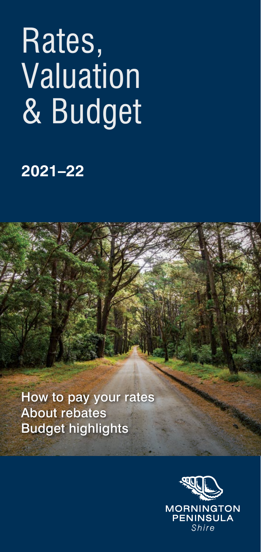# Rates, **Valuation** & Budget

## **2021–22**

How to pay your rates About rebates Budget highlights

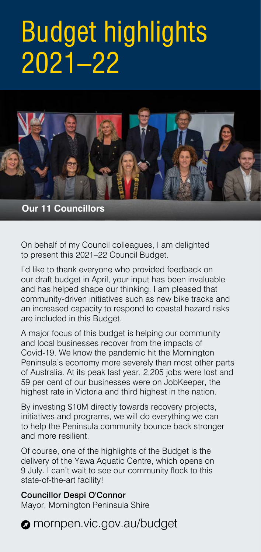## Budget highlights 2021–22



**Our 11 Councillors**

On behalf of my Council colleagues, I am delighted to present this 2021–22 Council Budget.

I'd like to thank everyone who provided feedback on our draft budget in April, your input has been invaluable and has helped shape our thinking. I am pleased that community-driven initiatives such as new bike tracks and an increased capacity to respond to coastal hazard risks are included in this Budget.

A major focus of this budget is helping our community and local businesses recover from the impacts of Covid-19. We know the pandemic hit the Mornington Peninsula's economy more severely than most other parts of Australia. At its peak last year, 2,205 jobs were lost and 59 per cent of our businesses were on JobKeeper, the highest rate in Victoria and third highest in the nation.

By investing \$10M directly towards recovery projects, initiatives and programs, we will do everything we can to help the Peninsula community bounce back stronger and more resilient.

Of course, one of the highlights of the Budget is the delivery of the Yawa Aquatic Centre, which opens on 9 July. I can't wait to see our community flock to this state-of-the-art facility!

#### Councillor Despi O'Connor

Mayor, Mornington Peninsula Shire

#### **a** mornpen.vic.gov.au/budget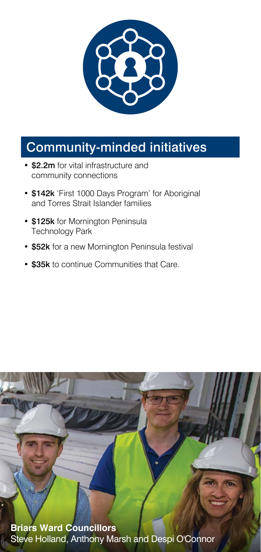

#### Community-minded initiatives

- \$2.2m for vital infrastructure and community connections
- \$142k 'First 1000 Days Program' for Aboriginal and Torres Strait Islander families
- \$125k for Mornington Peninsula Technology Park
- \$52k for a new Mornington Peninsula festival
- \$35k to continue Communities that Care.

**Briars Ward Councillors** Steve Holland, Anthony Marsh and Despi O'Connor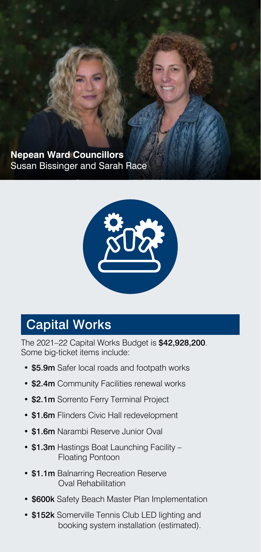**Nepean Ward Councillors** Susan Bissinger and Sarah Race



## Capital Works

The 2021–22 Capital Works Budget is \$42,928,200. Some big-ticket items include:

- \$5.9m Safer local roads and footpath works
- \$2.4m Community Facilities renewal works
- \$2.1m Sorrento Ferry Terminal Project
- \$1.6m Flinders Civic Hall redevelopment
- \$1.6m Narambi Reserve Junior Oval
- \$1.3m Hastings Boat Launching Facility Floating Pontoon
- \$1.1m Balnarring Recreation Reserve Oval Rehabilitation
- \$600k Safety Beach Master Plan Implementation
- \$152k Somerville Tennis Club LED lighting and booking system installation (estimated).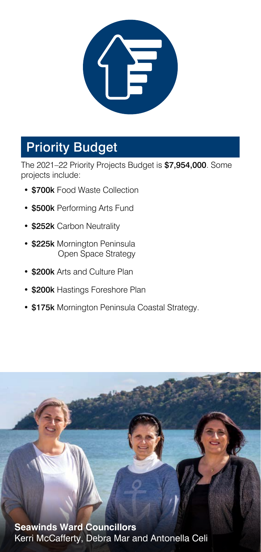

## Priority Budget

The 2021–22 Priority Projects Budget is \$7,954,000. Some projects include:

- \$700k Food Waste Collection
- \$500k Performing Arts Fund
- \$252k Carbon Neutrality
- \$225k Mornington Peninsula Open Space Strategy
- \$200k Arts and Culture Plan
- \$200k Hastings Foreshore Plan
- \$175k Mornington Peninsula Coastal Strategy.

**Seawinds Ward Councillors** Kerri McCafferty, Debra Mar and Antonella Celi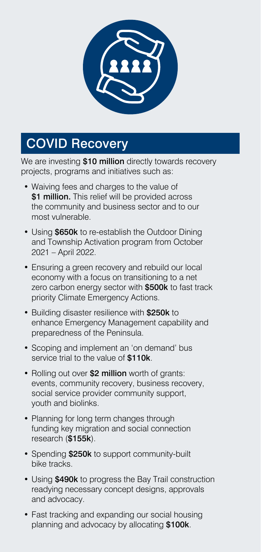

## COVID Recovery

We are investing \$10 million directly towards recovery projects, programs and initiatives such as:

- Waiving fees and charges to the value of \$1 million. This relief will be provided across the community and business sector and to our most vulnerable.
- Using \$650k to re-establish the Outdoor Dining and Township Activation program from October 2021 – April 2022.
- Ensuring a green recovery and rebuild our local economy with a focus on transitioning to a net zero carbon energy sector with \$500k to fast track priority Climate Emergency Actions.
- Building disaster resilience with \$250k to enhance Emergency Management capability and preparedness of the Peninsula.
- Scoping and implement an 'on demand' bus service trial to the value of \$110k.
- Rolling out over \$2 million worth of grants: events, community recovery, business recovery, social service provider community support, youth and biolinks.
- Planning for long term changes through funding key migration and social connection research (\$155k).
- Spending \$250k to support community-built bike tracks.
- Using \$490k to progress the Bay Trail construction readying necessary concept designs, approvals and advocacy.
- Fast tracking and expanding our social housing planning and advocacy by allocating \$100k.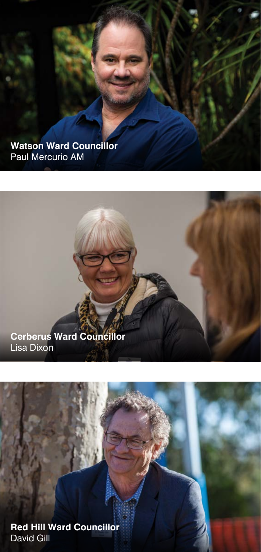**Watson Ward Councillor** Paul Mercurio AM

#### **Cerberus Ward Councillor** Lisa Dixon

**Red Hill Ward Councillor** David Gill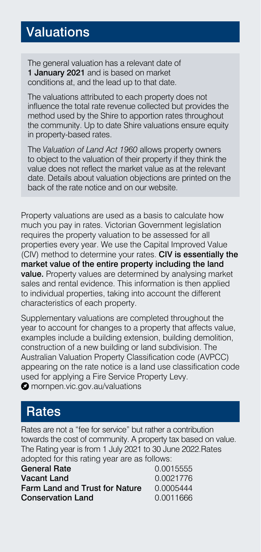#### **Valuations**

The general valuation has a relevant date of 1 January 2021 and is based on market conditions at, and the lead up to that date.

The valuations attributed to each property does not influence the total rate revenue collected but provides the method used by the Shire to apportion rates throughout the community. Up to date Shire valuations ensure equity in property-based rates.

The *Valuation of Land Act 1960* allows property owners to object to the valuation of their property if they think the value does not reflect the market value as at the relevant date. Details about valuation objections are printed on the back of the rate notice and on our website.

Property valuations are used as a basis to calculate how much you pay in rates. Victorian Government legislation requires the property valuation to be assessed for all properties every year. We use the Capital Improved Value (CIV) method to determine your rates. CIV is essentially the market value of the entire property including the land value. Property values are determined by analysing market sales and rental evidence. This information is then applied to individual properties, taking into account the different characteristics of each property.

Supplementary valuations are completed throughout the year to account for changes to a property that affects value, examples include a building extension, building demolition, construction of a new building or land subdivision. The Australian Valuation Property Classification code (AVPCC) appearing on the rate notice is a land use classification code used for applying a Fire Service Property Levy.

**O** mornpen.vic.gov.au/valuations

#### **Rates**

Rates are not a "fee for service" but rather a contribution towards the cost of community. A property tax based on value. The Rating year is from 1 July 2021 to 30 June 2022.Rates adopted for this rating year are as follows:

| <b>General Rate</b>            | 0.0015555 |
|--------------------------------|-----------|
| Vacant Land                    | 0.0021776 |
| Farm Land and Trust for Nature | 0.0005444 |
| <b>Conservation Land</b>       | 0.0011666 |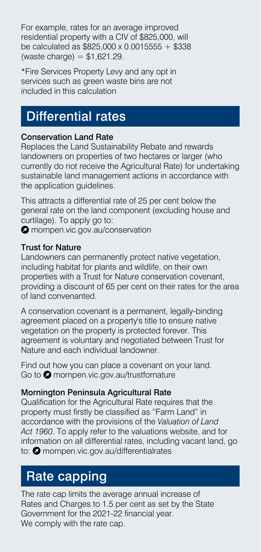For example, rates for an average improved residential property with a CIV of \$825,000, will be calculated as  $$825,000 \times 0.0015555 + $338$  $(waste charge) = $1.621.29$ .

\*Fire Services Property Levy and any opt in services such as green waste bins are not included in this calculation

#### Differential rates

#### Conservation Land Rate

Replaces the Land Sustainability Rebate and rewards landowners on properties of two hectares or larger (who currently do not receive the Agricultural Rate) for undertaking sustainable land management actions in accordance with the application quidelines.

This attracts a differential rate of 25 per cent below the general rate on the land component (excluding house and curtilage). To apply go to: **O** mornpen.vic.gov.au/conservation

Trust for Nature

Landowners can permanently protect native vegetation, including habitat for plants and wildlife, on their own properties with a Trust for Nature conservation covenant, providing a discount of 65 per cent on their rates for the area of land convenanted.

A conservation covenant is a permanent, legally-binding agreement placed on a property's title to ensure native vegetation on the property is protected forever. This agreement is voluntary and negotiated between Trust for Nature and each individual landowner.

Find out how you can place a covenant on your land. Go to **O** mornpen.vic.gov.au/trustfornature

#### Mornington Peninsula Agricultural Rate

Qualification for the Agricultural Rate requires that the property must firstly be classified as "Farm Land" in accordance with the provisions of the *Valuation of Land Act 1960*. To apply refer to the valuations website, and for information on all differential rates, including vacant land, go to: **O** mornpen.vic.gov.au/differentialrates

## Rate capping

The rate cap limits the average annual increase of Rates and Charges to 1.5 per cent as set by the State Government for the 2021-22 financial year. We comply with the rate cap.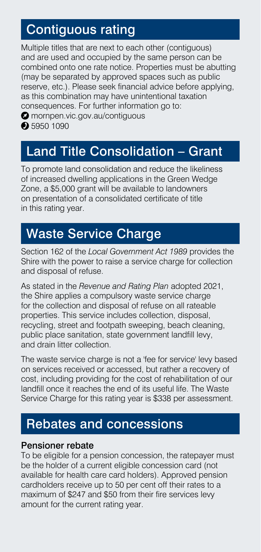### Contiguous rating

Multiple titles that are next to each other (contiguous) and are used and occupied by the same person can be combined onto one rate notice. Properties must be abutting (may be separated by approved spaces such as public reserve, etc.). Please seek financial advice before applying, as this combination may have unintentional taxation consequences. For further information go to:

**O** mornpen.vic.gov.au/contiguous

**2** 5950 1090

#### Land Title Consolidation – Grant

To promote land consolidation and reduce the likeliness of increased dwelling applications in the Green Wedge Zone, a \$5,000 grant will be available to landowners on presentation of a consolidated certificate of title in this rating year.

## Waste Service Charge

Section 162 of the *Local Government Act 1989* provides the Shire with the power to raise a service charge for collection and disposal of refuse.

As stated in the *Revenue and Rating Plan* adopted 2021, the Shire applies a compulsory waste service charge for the collection and disposal of refuse on all rateable properties. This service includes collection, disposal, recycling, street and footpath sweeping, beach cleaning, public place sanitation, state government landfill levy, and drain litter collection.

The waste service charge is not a 'fee for service' levy based on services received or accessed, but rather a recovery of cost, including providing for the cost of rehabilitation of our landfill once it reaches the end of its useful life. The Waste Service Charge for this rating year is \$338 per assessment.

#### Rebates and concessions

#### Pensioner rebate

To be eligible for a pension concession, the ratepayer must be the holder of a current eligible concession card (not available for health care card holders). Approved pension cardholders receive up to 50 per cent off their rates to a maximum of \$247 and \$50 from their fire services levy amount for the current rating year.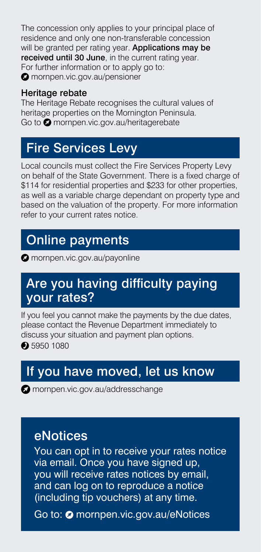The concession only applies to your principal place of residence and only one non-transferable concession will be granted per rating year. Applications may be received until 30 June, in the current rating year. For further information or to apply go to: **O** mornpen.vic.gov.au/pensioner

#### Heritage rebate

The Heritage Rebate recognises the cultural values of heritage properties on the Mornington Peninsula. Go to **O** mornpen.vic.gov.au/heritagerebate

### Fire Services Levy

Local councils must collect the Fire Services Property Levy on behalf of the State Government. There is a fixed charge of \$114 for residential properties and \$233 for other properties, as well as a variable charge dependant on property type and based on the valuation of the property. For more information refer to your current rates notice.

#### Online payments

**O** mornpen.vic.gov.au/payonline

#### Are you having difficulty paying your rates?

If you feel you cannot make the payments by the due dates, please contact the Revenue Department immediately to discuss your situation and payment plan options.

**2** 5950 1080

#### If you have moved, let us know

**M** mornpen.vic.gov.au/addresschange

#### eNotices

You can opt in to receive your rates notice via email. Once you have signed up, you will receive rates notices by email, and can log on to reproduce a notice (including tip vouchers) at any time.

Go to: @ mornpen.vic.gov.au/eNotices